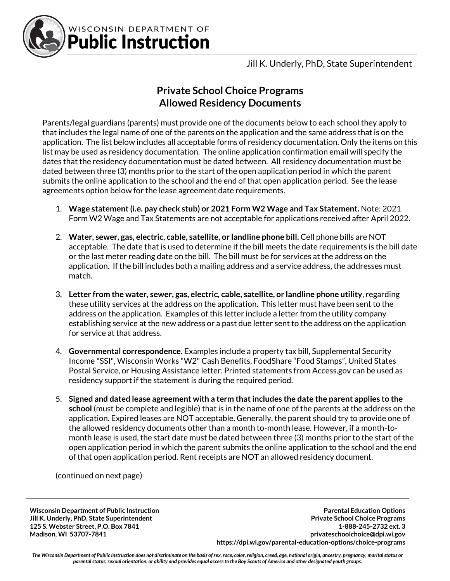

WISCONSIN DEPARTMENT OF **Public Instruction** 

Jill K. Underly, PhD, State Superintendent

## **Private School Choice Programs Allowed Residency Documents**

Parents/legal guardians (parents) must provide one of the documents below to each school they apply to that includes the legal name of one of the parents on the application and the same address that is on the application. The list below includes all acceptable forms of residency documentation. Only the items on this list may be used as residency documentation. The online application confirmation email will specify the dates that the residency documentation must be dated between. All residency documentation must be dated between three (3) months prior to the start of the open application period in which the parent submits the online application to the school and the end of that open application period. See the lease agreements option below for the lease agreement date requirements.

- 1. **Wage statement (i.e. pay check stub) or 2021 Form W2 Wage and Tax Statement.** Note: 2021 Form W2 Wage and Tax Statements are not acceptable for applications received after April 2022.
- 2. **Water, sewer, gas, electric, cable, satellite, or landline phone bill.** Cell phone bills are NOT acceptable. The date that is used to determine if the bill meets the date requirements is the bill date or the last meter reading date on the bill. The bill must be for services at the address on the application. If the bill includes both a mailing address and a service address, the addresses must match.
- 3. **Letter from the water, sewer, gas, electric, cable, satellite, or landline phone utility**, regarding these utility services at the address on the application. This letter must have been sent to the address on the application. Examples of this letter include a letter from the utility company establishing service at the new address or a past due letter sent to the address on the application for service at that address.
- 4. **Governmental correspondence.** Examples include a property tax bill, Supplemental Security Income "SSI", Wisconsin Works "W2" Cash Benefits, FoodShare "Food Stamps", United States Postal Service, or Housing Assistance letter. Printed statements from Access.gov can be used as residency support if the statement is during the required period.
- 5. **Signed and dated lease agreement with a term that includes the date the parent applies to the school** (must be complete and legible) that is in the name of one of the parents at the address on the application. Expired leases are NOT acceptable. Generally, the parent should try to provide one of the allowed residency documents other than a month to-month lease. However, if a month-tomonth lease is used, the start date must be dated between three (3) months prior to the start of the open application period in which the parent submits the online application to the school and the end of that open application period. Rent receipts are NOT an allowed residency document.

(continued on next page)

**Wisconsin Department of Public Instruction Jill K. Underly, PhD, State Superintendent 125 S. Webster Street, P.O. Box 7841 Madison, WI 53707-7841**

**Parental Education Options Private School Choice Programs 1-888-245-2732 ext. 3 privateschoolchoice@dpi.wi.gov https://dpi.wi.gov/parental-education-options/choice-programs**

*The Wisconsin Department of Public Instruction does not discriminate on the basis of sex, race, color, religion, creed, age, national origin, ancestry, pregnancy, marital status or parental status, sexual orientation, or ability and provides equal access to the Boy Scouts of America and other designated youth groups.*